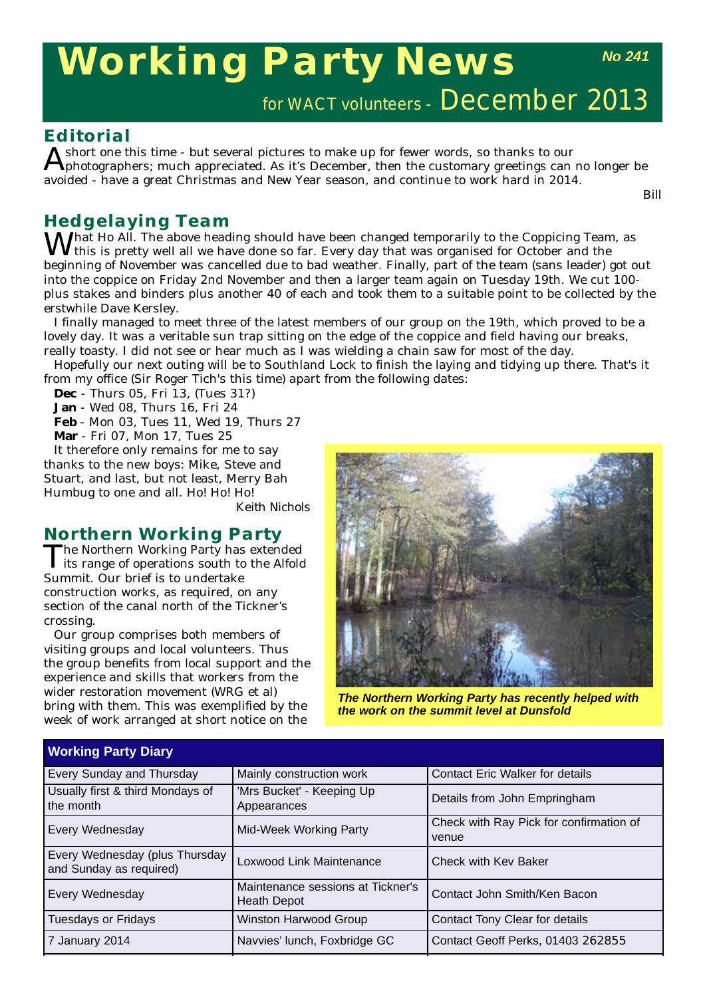# **Working Party News**

*No 241*

# for WACT volunteers - December 2013

### **Editorial**

 $A$  short one this time - but several pictures to make up for fewer words, so thanks to our  $A$  photographers; much appreciated. As it's December, then the customary greetings can no longer be avoided - have a great Christmas and New Year season, and continue to work hard in 2014.

*Bill*

# **Hedgelaying Team**

 $M^{\text{hat}}$  Ho All. The above heading should have been changed temporarily to the Coppicing Team, as this is pretty well all we have done so far. Every day that was organised for October and the beginning of November was cancelled due to bad weather. Finally, part of the team (sans leader) got out into the coppice on Friday 2nd November and then a larger team again on Tuesday 19th. We cut 100 plus stakes and binders plus another 40 of each and took them to a suitable point to be collected by the erstwhile Dave Kersley.

I finally managed to meet three of the latest members of our group on the 19th, which proved to be a lovely day. It was a veritable sun trap sitting on the edge of the coppice and field having our breaks, really toasty. I did not see or hear much as I was wielding a chain saw for most of the day.

Hopefully our next outing will be to Southland Lock to finish the laying and tidying up there. That's it from my office (Sir Roger Tich's this time) apart from the following dates:

**Dec** - Thurs 05, Fri 13, (Tues 31?)

**Jan** - Wed 08, Thurs 16, Fri 24

**Feb** - Mon 03, Tues 11, Wed 19, Thurs 27

**Mar** - Fri 07, Mon 17, Tues 25

It therefore only remains for me to say thanks to the new boys: Mike, Steve and Stuart, and last, but not least, Merry Bah Humbug to one and all. Ho! Ho! Ho!

*Keith Nichols*

# **Northern Working Party**<br>The Northern Working Party has extended

The Northern Working Party has extended its range of operations south to the Alfold Summit. Our brief is to undertake construction works, as required, on any section of the canal north of the Tickner's crossing.

Our group comprises both members of visiting groups and local volunteers. Thus the group benefits from local support and the experience and skills that workers from the wider restoration movement (WRG et al) bring with them. This was exemplified by the week of work arranged at short notice on the



*The Northern Working Party has recently helped with the work on the summit level at Dunsfold*

| <b>Working Party Diary</b>                                |                                                         |                                                  |  |  |
|-----------------------------------------------------------|---------------------------------------------------------|--------------------------------------------------|--|--|
| Mainly construction work<br>Every Sunday and Thursday     |                                                         | <b>Contact Eric Walker for details</b>           |  |  |
| Usually first & third Mondays of<br>the month             | 'Mrs Bucket' - Keeping Up<br>Appearances                | Details from John Empringham                     |  |  |
| Every Wednesday                                           | Mid-Week Working Party                                  | Check with Ray Pick for confirmation of<br>venue |  |  |
| Every Wednesday (plus Thursday<br>and Sunday as required) | Loxwood Link Maintenance                                | <b>Check with Kev Baker</b>                      |  |  |
| Every Wednesday                                           | Maintenance sessions at Tickner's<br><b>Heath Depot</b> | Contact John Smith/Ken Bacon                     |  |  |
| <b>Tuesdays or Fridays</b>                                | Winston Harwood Group                                   | Contact Tony Clear for details                   |  |  |
| 7 January 2014                                            | Navvies' lunch, Foxbridge GC                            | Contact Geoff Perks, 01403 262855                |  |  |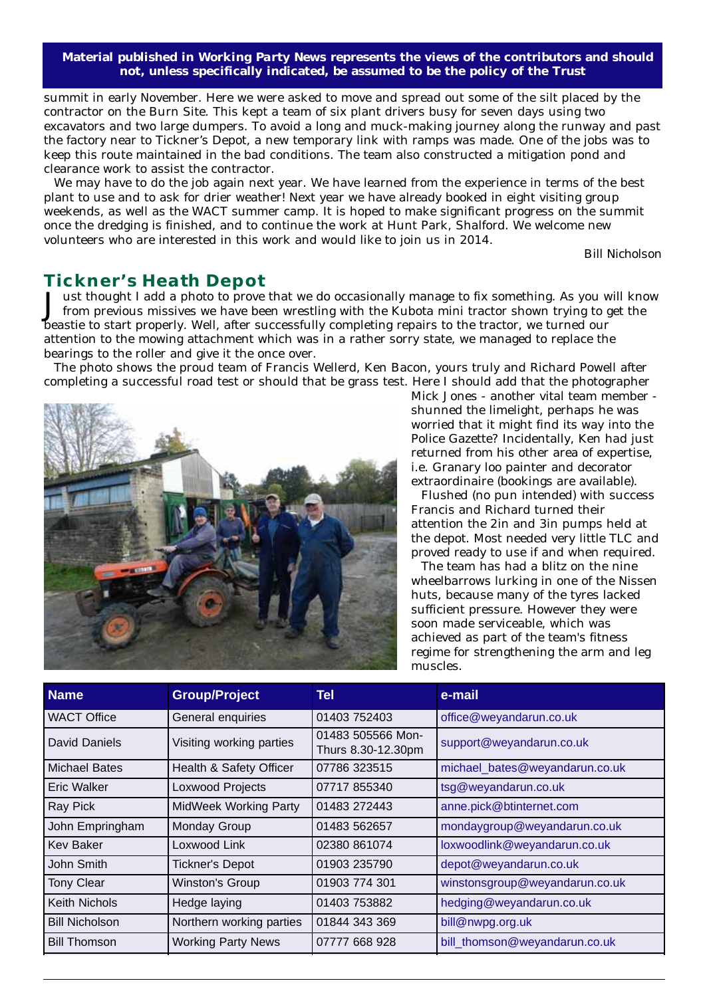**Material published in** *Working Party News* **represents the views of the contributors and should not, unless specifically indicated, be assumed to be the policy of the Trust**

summit in early November. Here we were asked to move and spread out some of the silt placed by the contractor on the Burn Site. This kept a team of six plant drivers busy for seven days using two excavators and two large dumpers. To avoid a long and muck-making journey along the runway and past the factory near to Tickner's Depot, a new temporary link with ramps was made. One of the jobs was to keep this route maintained in the bad conditions. The team also constructed a mitigation pond and clearance work to assist the contractor.

We may have to do the job again next year. We have learned from the experience in terms of the best plant to use and to ask for drier weather! Next year we have already booked in eight visiting group weekends, as well as the WACT summer camp. It is hoped to make significant progress on the summit once the dredging is finished, and to continue the work at Hunt Park, Shalford. We welcome new volunteers who are interested in this work and would like to join us in 2014.

B*ill Nicholson* 

### **Tickner's Heath Depot**

Just thought I add a photo to prove that we do occasionally manage to fix something. As you will know from previous missives we have been wrestling with the Kubota mini tractor shown trying to get the beastie to start properly. Well, after successfully completing repairs to the tractor, we turned our attention to the mowing attachment which was in a rather sorry state, we managed to replace the bearings to the roller and give it the once over.

The photo shows the proud team of Francis Wellerd, Ken Bacon, yours truly and Richard Powell after completing a successful road test or should that be grass test. Here I should add that the photographer



Mick Jones - another vital team member shunned the limelight, perhaps he was worried that it might find its way into the Police Gazette? Incidentally, Ken had just returned from his other area of expertise, i.e. Granary loo painter and decorator extraordinaire (bookings are available).

Flushed (no pun intended) with success Francis and Richard turned their attention the 2in and 3in pumps held at the depot. Most needed very little TLC and proved ready to use if and when required.

The team has had a blitz on the nine wheelbarrows lurking in one of the Nissen huts, because many of the tyres lacked sufficient pressure. However they were soon made serviceable, which was achieved as part of the team's fitness regime for strengthening the arm and leg muscles.

| <b>Name</b>           | <b>Group/Project</b>         | Tel                                     | e-mail                         |
|-----------------------|------------------------------|-----------------------------------------|--------------------------------|
| <b>WACT Office</b>    | General enquiries            | 01403 752403                            | office@weyandarun.co.uk        |
| David Daniels         | Visiting working parties     | 01483 505566 Mon-<br>Thurs 8.30-12.30pm | support@weyandarun.co.uk       |
| Michael Bates         | Health & Safety Officer      | 07786 323515                            | michael_bates@weyandarun.co.uk |
| Eric Walker           | Loxwood Projects             | 07717 855340                            | tsg@weyandarun.co.uk           |
| Ray Pick              | <b>MidWeek Working Party</b> | 01483 272443                            | anne.pick@btinternet.com       |
| John Empringham       | Monday Group                 | 01483 562657                            | mondaygroup@weyandarun.co.uk   |
| <b>Kev Baker</b>      | Loxwood Link                 | 02380 861074                            | loxwoodlink@weyandarun.co.uk   |
| John Smith            | <b>Tickner's Depot</b>       | 01903 235790                            | depot@weyandarun.co.uk         |
| <b>Tony Clear</b>     | <b>Winston's Group</b>       | 01903 774 301                           | winstonsgroup@weyandarun.co.uk |
| <b>Keith Nichols</b>  | Hedge laying                 | 01403 753882                            | hedging@weyandarun.co.uk       |
| <b>Bill Nicholson</b> | Northern working parties     | 01844 343 369                           | bill@nwpg.org.uk               |
| <b>Bill Thomson</b>   | <b>Working Party News</b>    | 07777 668 928                           | bill thomson@weyandarun.co.uk  |
|                       |                              |                                         |                                |